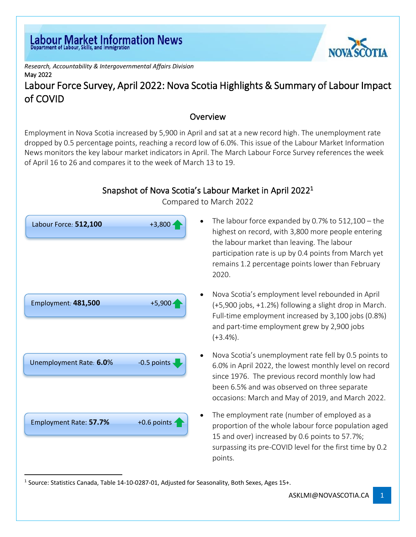*Research, Accountability & Intergovernmental Affairs Division* May 2022

# Labour Force Survey, April 2022: Nova Scotia Highlights & Summary of Labour Impact of COVID

#### **Overview**

Employment in Nova Scotia increased by 5,900 in April and sat at a new record high. The unemployment rate dropped by 0.5 percentage points, reaching a record low of 6.0%. This issue of the Labour Market Information News monitors the key labour market indicators in April. The March Labour Force Survey references the week of April 16 to 26 and compares it to the week of March 13 to 19.

## Snapshot of Nova Scotia's Labour Market in April 2022<sup>1</sup>



Compared to March 2022

- The labour force expanded by 0.7% to  $512,100 -$  the highest on record, with 3,800 more people entering the labour market than leaving. The labour participation rate is up by 0.4 points from March yet remains 1.2 percentage points lower than February 2020.
- Nova Scotia's employment level rebounded in April (+5,900 jobs, +1.2%) following a slight drop in March. Full-time employment increased by 3,100 jobs (0.8%) and part-time employment grew by 2,900 jobs  $(+3.4\%).$
- Nova Scotia's unemployment rate fell by 0.5 points to 6.0% in April 2022, the lowest monthly level on record since 1976. The previous record monthly low had been 6.5% and was observed on three separate occasions: March and May of 2019, and March 2022.
- The employment rate (number of employed as a proportion of the whole labour force population aged 15 and over) increased by 0.6 points to 57.7%; surpassing its pre-COVID level for the first time by 0.2 points.

<sup>&</sup>lt;sup>1</sup> Source: Statistics Canada, Table 14-10-0287-01, Adjusted for Seasonality, Both Sexes, Ages 15+.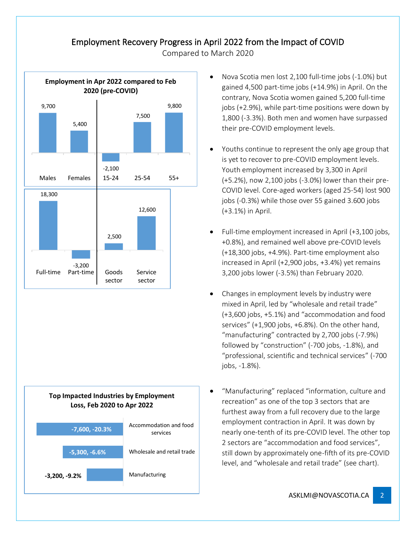### Employment Recovery Progress in April 2022 from the Impact of COVID

Compared to March 2020





- Nova Scotia men lost 2,100 full-time jobs (-1.0%) but gained 4,500 part-time jobs (+14.9%) in April. On the contrary, Nova Scotia women gained 5,200 full-time jobs (+2.9%), while part-time positions were down by 1,800 (-3.3%). Both men and women have surpassed their pre-COVID employment levels.
- Youths continue to represent the only age group that is yet to recover to pre-COVID employment levels. Youth employment increased by 3,300 in April (+5.2%), now 2,100 jobs (-3.0%) lower than their pre-COVID level. Core-aged workers (aged 25-54) lost 900 jobs (-0.3%) while those over 55 gained 3.600 jobs (+3.1%) in April.
- Full-time employment increased in April (+3,100 jobs, +0.8%), and remained well above pre-COVID levels (+18,300 jobs, +4.9%). Part-time employment also increased in April (+2,900 jobs, +3.4%) yet remains 3,200 jobs lower (-3.5%) than February 2020.
- Changes in employment levels by industry were mixed in April, led by "wholesale and retail trade" (+3,600 jobs, +5.1%) and "accommodation and food services" (+1,900 jobs, +6.8%). On the other hand, "manufacturing" contracted by 2,700 jobs (-7.9%) followed by "construction" (-700 jobs, -1.8%), and "professional, scientific and technical services" (-700 jobs, -1.8%).
- "Manufacturing" replaced "information, culture and recreation" as one of the top 3 sectors that are furthest away from a full recovery due to the large employment contraction in April. It was down by nearly one-tenth of its pre-COVID level. The other top 2 sectors are "accommodation and food services", still down by approximately one-fifth of its pre-COVID level, and "wholesale and retail trade" (see chart).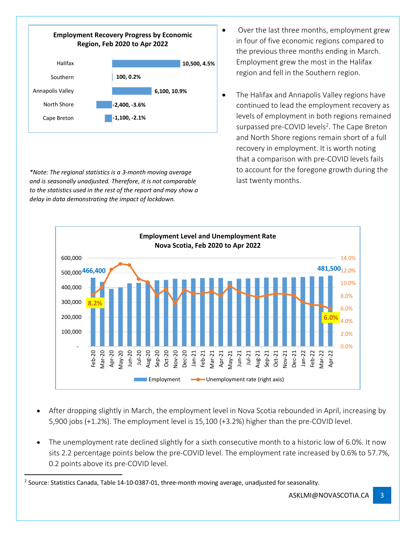

*\*Note: The regional statistics is a 3-month moving average and is seasonally unadjusted. Therefore, it is not comparable to the statistics used in the rest of the report and may show a delay in data demonstrating the impact of lockdown.*

- Over the last three months, employment grew in four of five economic regions compared to the previous three months ending in March. Employment grew the most in the Halifax region and fell in the Southern region.
- The Halifax and Annapolis Valley regions have continued to lead the employment recovery as levels of employment in both regions remained surpassed pre-COVID levels<sup>2</sup>. The Cape Breton and North Shore regions remain short of a full recovery in employment. It is worth noting that a comparison with pre-COVID levels fails to account for the foregone growth during the last twenty months.



- After dropping slightly in March, the employment level in Nova Scotia rebounded in April, increasing by 5,900 jobs (+1.2%). The employment level is 15,100 (+3.2%) higher than the pre-COVID level.
- The unemployment rate declined slightly for a sixth consecutive month to a historic low of 6.0%. It now sits 2.2 percentage points below the pre-COVID level. The employment rate increased by 0.6% to 57.7%, 0.2 points above its pre-COVID level.

<sup>2</sup> Source: Statistics Canada, Table 14-10-0387-01, three-month moving average, unadjusted for seasonality.

ASKLMI@NOVASCOTIA.CA 3